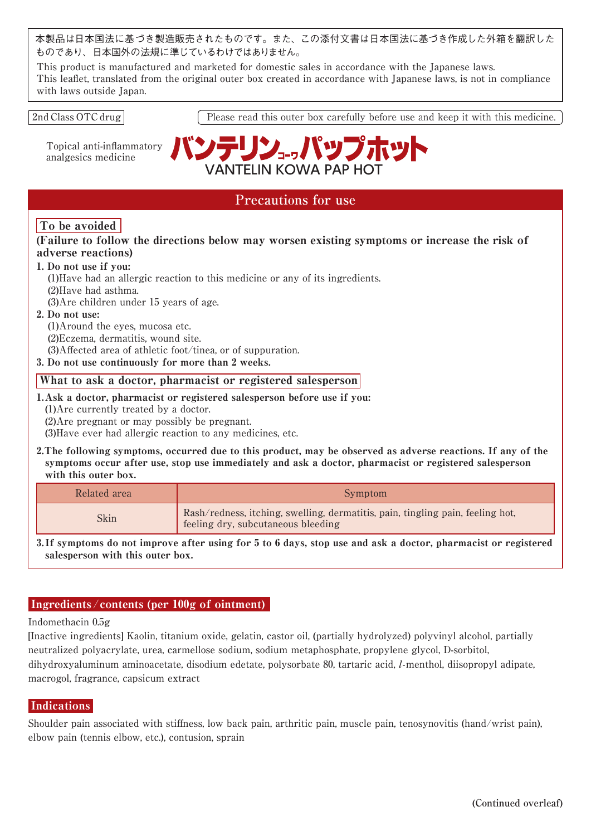本製品は日本国法に基づき製造販売されたものです。また、この添付文書は日本国法に基づき作成した外箱を翻訳した ものであり、日本国外の法規に準じているわけではありません。

This product is manufactured and marketed for domestic sales in accordance with the Japanese laws. This leaflet, translated from the original outer box created in accordance with Japanese laws, is not in compliance with laws outside Japan.

### 2nd Class OTC drug

Topical anti-inflammatory analgesics medicine





# **Precautions for use**

# To be avoided

(Failure to follow the directions below may worsen existing symptoms or increase the risk of adverse reactions)

## 1. Do not use if you:

(1)Have had an allergic reaction to this medicine or any of its ingredients.

(2)Have had asthma.

(3)Are children under 15 years of age.

### 2. Do not use:

(1)Around the eyes, mucosa etc.

(2)Eczema, dermatitis, wound site.

(3)Affected area of athletic foot/tinea, or of suppuration.

3. Do not use continuously for more than 2 weeks.

## What to ask a doctor, pharmacist or registered salesperson

1.Ask a doctor, pharmacist or registered salesperson before use if you:

(1)Are currently treated by a doctor.

(2)Are pregnant or may possibly be pregnant.

(3)Have ever had allergic reaction to any medicines, etc.

2.The following symptoms, occurred due to this product, may be observed as adverse reactions. If any of the symptoms occur after use, stop use immediately and ask a doctor, pharmacist or registered salesperson with this outer box.

| Related area | Symptom                                                                                                              |
|--------------|----------------------------------------------------------------------------------------------------------------------|
| Skin         | Rash/redness, itching, swelling, dermatitis, pain, tingling pain, feeling hot,<br>feeling dry, subcutaneous bleeding |

3. If symptoms do not improve after using for 5 to 6 days, stop use and ask a doctor, pharmacist or registered salesperson with this outer box.

# Ingredients /contents (per 100g of ointment)

Indomethacin 0.5g

[Inactive ingredients] Kaolin, titanium oxide, gelatin, castor oil, (partially hydrolyzed) polyvinyl alcohol, partially neutralized polyacrylate, urea, carmellose sodium, sodium metaphosphate, propylene glycol, D-sorbitol, dihydroxyaluminum aminoacetate, disodium edetate, polysorbate 80, tartaric acid, l-menthol, diisopropyl adipate, macrogol, fragrance, capsicum extract

# **Indications**

Shoulder pain associated with stiffness, low back pain, arthritic pain, muscle pain, tenosynovitis (hand/wrist pain), elbow pain (tennis elbow, etc.), contusion, sprain